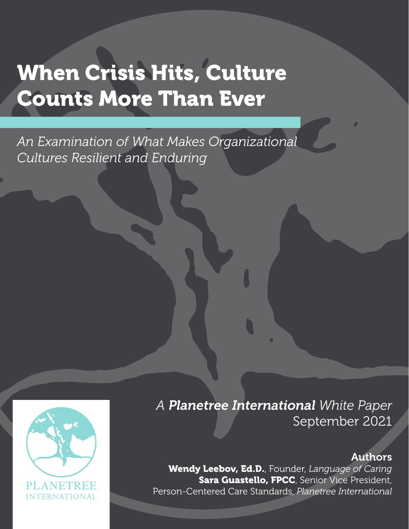# When Crisis Hits, Culture Counts More Than Ever

*An Examination of What Makes Organizational Cultures Resilient and Enduring*



#### Authors

Wendy Leebov, Ed.D., Founder, *Language of Caring* Sara Guastello, FPCC, Senior Vice President, Person-Centered Care Standards, *Planetree International*

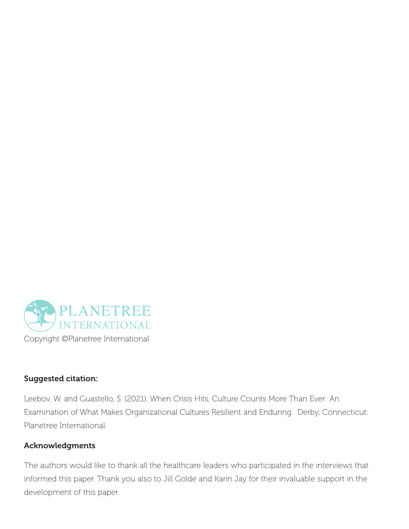

#### Suggested citation:

Leebov, W. and Guastello, S. (2021). When Crisis Hits, Culture Counts More Than Ever: An Examination of What Makes Organizational Cultures Resilient and Enduring. Derby, Connecticut: Planetree International.

#### Acknowledgments

The authors would like to thank all the healthcare leaders who participated in the interviews that informed this paper. Thank you also to Jill Golde and Karin Jay for their invaluable support in the development of this paper.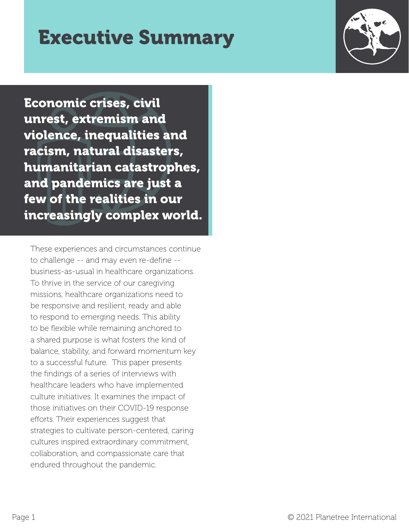### Executive Summary



Economic crises, civil unrest, extremism and violence, inequalities and racism, natural disasters, humanitarian catastrophes, and pandemics are just a few of the realities in our increasingly complex world.

These experiences and circumstances continue to challenge -- and may even re-define - business-as-usual in healthcare organizations. To thrive in the service of our caregiving missions, healthcare organizations need to be responsive and resilient, ready and able to respond to emerging needs. This ability to be flexible while remaining anchored to a shared purpose is what fosters the kind of balance, stability, and forward momentum key to a successful future. This paper presents the findings of a series of interviews with healthcare leaders who have implemented culture initiatives. It examines the impact of those initiatives on their COVID-19 response efforts. Their experiences suggest that strategies to cultivate person-centered, caring cultures inspired extraordinary commitment, collaboration, and compassionate care that endured throughout the pandemic.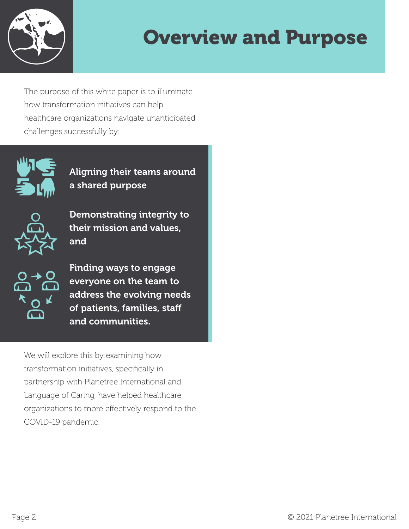

## Overview and Purpose

The purpose of this white paper is to illuminate how transformation initiatives can help healthcare organizations navigate unanticipated challenges successfully by:



Aligning their teams around a shared purpose



Demonstrating integrity to their mission and values, and



Finding ways to engage everyone on the team to address the evolving needs of patients, families, staff and communities.

We will explore this by examining how transformation initiatives, specifically in partnership with Planetree International and Language of Caring, have helped healthcare organizations to more effectively respond to the COVID-19 pandemic.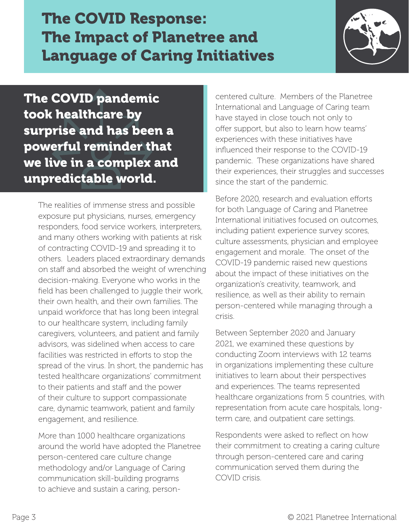The COVID Response: The Impact of Planetree and Language of Caring Initiatives



The COVID pandemic took healthcare by surprise and has been a powerful reminder that we live in a complex and unpredictable world.

The realities of immense stress and possible exposure put physicians, nurses, emergency responders, food service workers, interpreters, and many others working with patients at risk of contracting COVID-19 and spreading it to others. Leaders placed extraordinary demands on staff and absorbed the weight of wrenching decision-making. Everyone who works in the field has been challenged to juggle their work, their own health, and their own families. The unpaid workforce that has long been integral to our healthcare system, including family caregivers, volunteers, and patient and family advisors, was sidelined when access to care facilities was restricted in efforts to stop the spread of the virus. In short, the pandemic has tested healthcare organizations' commitment to their patients and staff and the power of their culture to support compassionate care, dynamic teamwork, patient and family engagement, and resilience.

More than 1000 healthcare organizations around the world have adopted the Planetree person-centered care culture change methodology and/or Language of Caring communication skill-building programs to achieve and sustain a caring, person-

centered culture. Members of the Planetree International and Language of Caring team have stayed in close touch not only to offer support, but also to learn how teams' experiences with these initiatives have influenced their response to the COVID-19 pandemic. These organizations have shared their experiences, their struggles and successes since the start of the pandemic.

Before 2020, research and evaluation efforts for both Language of Caring and Planetree International initiatives focused on outcomes, including patient experience survey scores, culture assessments, physician and employee engagement and morale. The onset of the COVID-19 pandemic raised new questions about the impact of these initiatives on the organization's creativity, teamwork, and resilience, as well as their ability to remain person-centered while managing through a crisis.

Between September 2020 and January 2021, we examined these questions by conducting Zoom interviews with 12 teams in organizations implementing these culture initiatives to learn about their perspectives and experiences. The teams represented healthcare organizations from 5 countries, with representation from acute care hospitals, longterm care, and outpatient care settings.

Respondents were asked to reflect on how their commitment to creating a caring culture through person-centered care and caring communication served them during the COVID crisis.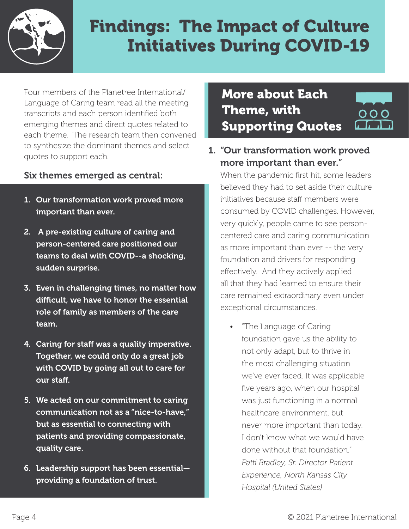

### Findings: The Impact of Culture Initiatives During COVID-19

Four members of the Planetree International/ Language of Caring team read all the meeting transcripts and each person identified both emerging themes and direct quotes related to each theme. The research team then convened to synthesize the dominant themes and select quotes to support each.

#### Six themes emerged as central:

- 1. Our transformation work proved more important than ever.
- 2. A pre-existing culture of caring and person-centered care positioned our teams to deal with COVID--a shocking, sudden surprise.
- 3. Even in challenging times, no matter how difficult, we have to honor the essential role of family as members of the care team.
- 4. Caring for staff was a quality imperative. Together, we could only do a great job with COVID by going all out to care for our staff.
- 5. We acted on our commitment to caring communication not as a "nice-to-have," but as essential to connecting with patients and providing compassionate, quality care.
- 6. Leadership support has been essential providing a foundation of trust.

More about Each Theme, with Supporting Quotes



1. "Our transformation work proved more important than ever."

When the pandemic first hit, some leaders believed they had to set aside their culture initiatives because staff members were consumed by COVID challenges. However, very quickly, people came to see personcentered care and caring communication as more important than ever -- the very foundation and drivers for responding effectively. And they actively applied all that they had learned to ensure their care remained extraordinary even under exceptional circumstances.

• "The Language of Caring foundation gave us the ability to not only adapt, but to thrive in the most challenging situation we've ever faced. It was applicable five years ago, when our hospital was just functioning in a normal healthcare environment, but never more important than today. I don't know what we would have done without that foundation." *Patti Bradley, Sr. Director Patient Experience, North Kansas City Hospital (United States)*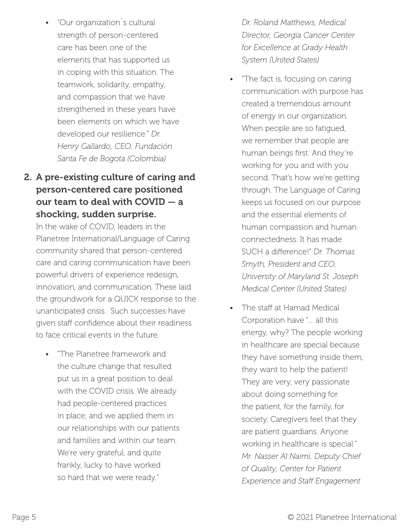• "Our organization´s cultural strength of person-centered care has been one of the elements that has supported us in coping with this situation. The teamwork, solidarity, empathy, and compassion that we have strengthened in these years have been elements on which we have developed our resilience." *Dr. Henry Gallardo, CEO, Fundación Santa Fe de Bogota (Colombia)*

#### 2. A pre-existing culture of caring and person-centered care positioned our team to deal with COVID — a shocking, sudden surprise.

In the wake of COVID, leaders in the Planetree International/Language of Caring community shared that person-centered care and caring communication have been powerful drivers of experience redesign, innovation, and communication. These laid the groundwork for a QUICK response to the unanticipated crisis. Such successes have given staff confidence about their readiness to face critical events in the future.

• "The Planetree framework and the culture change that resulted put us in a great position to deal with the COVID crisis. We already had people-centered practices in place, and we applied them in our relationships with our patients and families and within our team. We're very grateful, and quite frankly, lucky to have worked so hard that we were ready."

*Dr. Roland Matthews, Medical Director, Georgia Cancer Center for Excellence at Grady Health System (United States)*

- "The fact is, focusing on caring communication with purpose has created a tremendous amount of energy in our organization. When people are so fatigued, we remember that people are human beings first. And they're working for you and with you second. That's how we're getting through. The Language of Caring keeps us focused on our purpose and the essential elements of human compassion and human connectedness. It has made SUCH a difference!" *Dr. Thomas Smyth, President and CEO, University of Maryland St. Joseph Medical Center (United States)*
- The staff at Hamad Medical Corporation have "… all this energy, why? The people working in healthcare are special because they have something inside them, they want to help the patient! They are very, very passionate about doing something for the patient, for the family, for society. Caregivers feel that they are patient guardians. Anyone working in healthcare is special." *Mr. Nasser Al Naimi, Deputy Chief of Quality, Center for Patient Experience and Staff Engagement*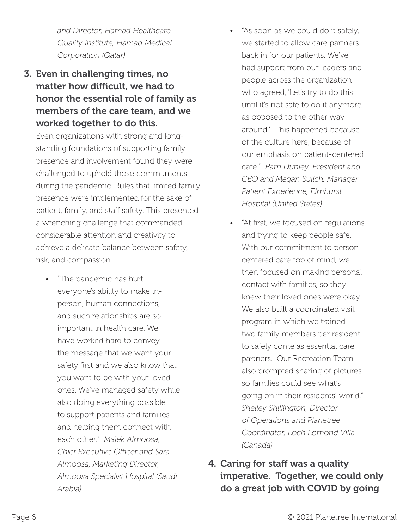*and Director, Hamad Healthcare Quality Institute, Hamad Medical Corporation (Qatar)*

3. Even in challenging times, no matter how difficult, we had to honor the essential role of family as members of the care team, and we worked together to do this.

Even organizations with strong and longstanding foundations of supporting family presence and involvement found they were challenged to uphold those commitments during the pandemic. Rules that limited family presence were implemented for the sake of patient, family, and staff safety. This presented a wrenching challenge that commanded considerable attention and creativity to achieve a delicate balance between safety, risk, and compassion.

• "The pandemic has hurt everyone's ability to make inperson, human connections, and such relationships are so important in health care. We have worked hard to convey the message that we want your safety first and we also know that you want to be with your loved ones. We've managed safety while also doing everything possible to support patients and families and helping them connect with each other." *Malek Almoosa, Chief Executive Officer and Sara Almoosa, Marketing Director, Almoosa Specialist Hospital (Saudi Arabia)*

- "As soon as we could do it safely, we started to allow care partners back in for our patients. We've had support from our leaders and people across the organization who agreed, 'Let's try to do this until it's not safe to do it anymore, as opposed to the other way around.' This happened because of the culture here, because of our emphasis on patient-centered care." *Pam Dunley, President and CEO and Megan Sulich, Manager Patient Experience, Elmhurst Hospital (United States)*
- "At first, we focused on regulations and trying to keep people safe. With our commitment to personcentered care top of mind, we then focused on making personal contact with families, so they knew their loved ones were okay. We also built a coordinated visit program in which we trained two family members per resident to safely come as essential care partners. Our Recreation Team also prompted sharing of pictures so families could see what's going on in their residents' world." *Shelley Shillington, Director of Operations and Planetree Coordinator, Loch Lomond Villa (Canada)*
- 4. Caring for staff was a quality imperative. Together, we could only do a great job with COVID by going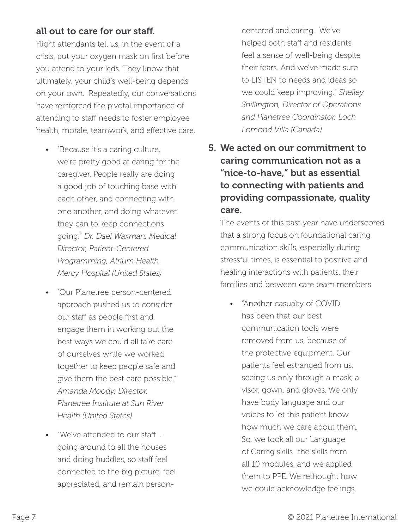#### all out to care for our staff.

Flight attendants tell us, in the event of a crisis, put your oxygen mask on first before you attend to your kids. They know that ultimately, your child's well-being depends on your own. Repeatedly, our conversations have reinforced the pivotal importance of attending to staff needs to foster employee health, morale, teamwork, and effective care.

- "Because it's a caring culture, we're pretty good at caring for the caregiver. People really are doing a good job of touching base with each other, and connecting with one another, and doing whatever they can to keep connections going." *Dr. Dael Waxman, Medical Director, Patient-Centered Programming, Atrium Health Mercy Hospital (United States)*
- "Our Planetree person-centered approach pushed us to consider our staff as people first and engage them in working out the best ways we could all take care of ourselves while we worked together to keep people safe and give them the best care possible." *Amanda Moody, Director, Planetree Institute at Sun River Health (United States)*
- "We've attended to our staff going around to all the houses and doing huddles, so staff feel connected to the big picture, feel appreciated, and remain person-

centered and caring. We've helped both staff and residents feel a sense of well-being despite their fears. And we've made sure to LISTEN to needs and ideas so we could keep improving." *Shelley Shillington, Director of Operations and Planetree Coordinator, Loch Lomond Villa (Canada)*

5. We acted on our commitment to caring communication not as a "nice-to-have," but as essential to connecting with patients and providing compassionate, quality care.

The events of this past year have underscored that a strong focus on foundational caring communication skills, especially during stressful times, is essential to positive and healing interactions with patients, their families and between care team members.

• "Another casualty of COVID has been that our best communication tools were removed from us, because of the protective equipment. Our patients feel estranged from us, seeing us only through a mask, a visor, gown, and gloves. We only have body language and our voices to let this patient know how much we care about them. So, we took all our Language of Caring skills–the skills from all 10 modules, and we applied them to PPE. We rethought how we could acknowledge feelings,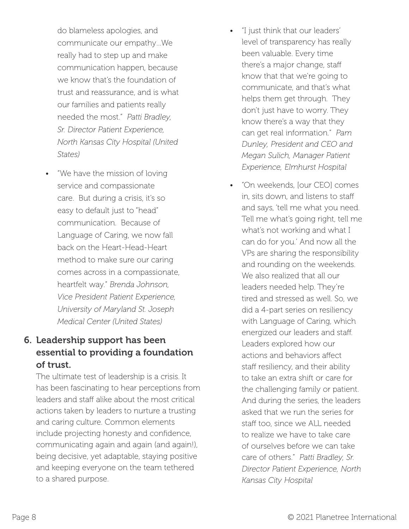do blameless apologies, and communicate our empathy…We really had to step up and make communication happen, because we know that's the foundation of trust and reassurance, and is what our families and patients really needed the most." *Patti Bradley, Sr. Director Patient Experience, North Kansas City Hospital (United States)*

• "We have the mission of loving service and compassionate care. But during a crisis, it's so easy to default just to "head" communication. Because of Language of Caring, we now fall back on the Heart-Head-Heart method to make sure our caring comes across in a compassionate, heartfelt way." *Brenda Johnson, Vice President Patient Experience, University of Maryland St. Joseph Medical Center (United States)*

#### 6. Leadership support has been essential to providing a foundation of trust.

The ultimate test of leadership is a crisis. It has been fascinating to hear perceptions from leaders and staff alike about the most critical actions taken by leaders to nurture a trusting and caring culture. Common elements include projecting honesty and confidence, communicating again and again (and again!), being decisive, yet adaptable, staying positive and keeping everyone on the team tethered to a shared purpose.

- "I just think that our leaders' level of transparency has really been valuable. Every time there's a major change, staff know that that we're going to communicate, and that's what helps them get through. They don't just have to worry. They know there's a way that they can get real information." *Pam Dunley, President and CEO and Megan Sulich, Manager Patient Experience, Elmhurst Hospital*
- "On weekends, [our CEO] comes in, sits down, and listens to staff and says, 'tell me what you need. Tell me what's going right, tell me what's not working and what I can do for you.' And now all the VPs are sharing the responsibility and rounding on the weekends. We also realized that all our leaders needed help. They're tired and stressed as well. So, we did a 4-part series on resiliency with Language of Caring, which energized our leaders and staff. Leaders explored how our actions and behaviors affect staff resiliency, and their ability to take an extra shift or care for the challenging family or patient. And during the series, the leaders asked that we run the series for staff too, since we ALL needed to realize we have to take care of ourselves before we can take care of others." *Patti Bradley, Sr. Director Patient Experience, North Kansas City Hospital*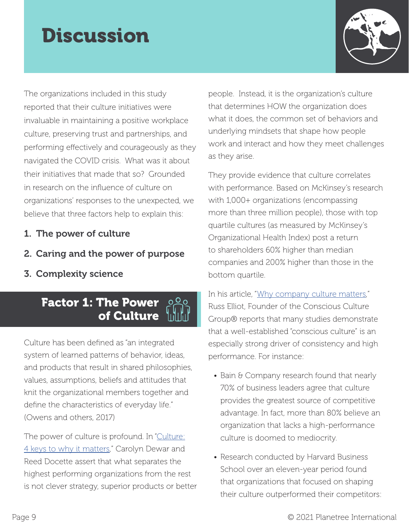## **Discussion**



The organizations included in this study reported that their culture initiatives were invaluable in maintaining a positive workplace culture, preserving trust and partnerships, and performing effectively and courageously as they navigated the COVID crisis. What was it about their initiatives that made that so? Grounded in research on the influence of culture on organizations' responses to the unexpected, we believe that three factors help to explain this:

- 1. The power of culture
- 2. Caring and the power of purpose
- 3. Complexity science

### Factor 1: The Power of Culture

Culture has been defined as "an integrated system of learned patterns of behavior, ideas, and products that result in shared philosophies, values, assumptions, beliefs and attitudes that knit the organizational members together and define the characteristics of everyday life." (Owens and others, 2017)

The power of culture is profound. In ["Culture:](https://www.mckinsey.com/business-functions/organization/our-insights/the-organization-blog/culture-4-keys-to-why-it-matters) [4 keys to why it matters](https://www.mckinsey.com/business-functions/organization/our-insights/the-organization-blog/culture-4-keys-to-why-it-matters)," Carolyn Dewar and Reed Docette assert that what separates the highest performing organizations from the rest is not clever strategy, superior products or better

people. Instead, it is the organization's culture that determines HOW the organization does what it does, the common set of behaviors and underlying mindsets that shape how people work and interact and how they meet challenges as they arise.

They provide evidence that culture correlates with performance. Based on McKinsey's research with 1,000+ organizations (encompassing more than three million people), those with top quartile cultures (as measured by McKinsey's Organizational Health Index) post a return to shareholders 60% higher than median companies and 200% higher than those in the bottom quartile.

In his article, "[Why company culture matters,](https://consciousculturegroup.com/why-culture-matters-article/)" Russ Elliot, Founder of the Conscious Culture Group® reports that many studies demonstrate that a well-established "conscious culture" is an especially strong driver of consistency and high performance. For instance:

- Bain & Company research found that nearly 70% of business leaders agree that culture provides the greatest source of competitive advantage. In fact, more than 80% believe an organization that lacks a high-performance culture is doomed to mediocrity.
- Research conducted by Harvard Business School over an eleven-year period found that organizations that focused on shaping their culture outperformed their competitors: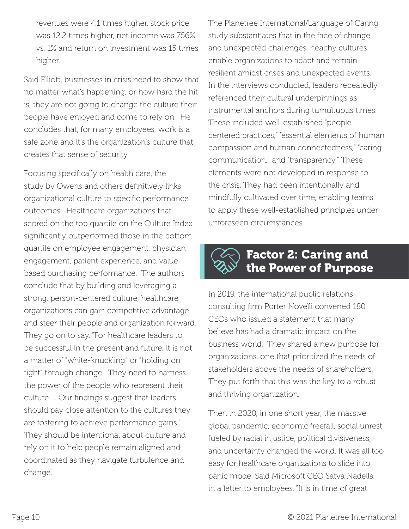revenues were 4.1 times higher, stock price was 12.2 times higher, net income was 756% vs. 1% and return on investment was 15 times higher.

Said Elliott, businesses in crisis need to show that no matter what's happening, or how hard the hit is, they are not going to change the culture their people have enjoyed and come to rely on. He concludes that, for many employees, work is a safe zone and it's the organization's culture that creates that sense of security.

Focusing specifically on health care, the study by Owens and others definitively links organizational culture to specific performance outcomes. Healthcare organizations that scored on the top quartile on the Culture Index significantly outperformed those in the bottom quartile on employee engagement, physician engagement, patient experience, and valuebased purchasing performance. The authors conclude that by building and leveraging a strong, person-centered culture, healthcare organizations can gain competitive advantage and steer their people and organization forward. They go on to say, "For healthcare leaders to be successful in the present and future, it is not a matter of "white-knuckling" or "holding on tight" through change. They need to harness the power of the people who represent their culture…. Our findings suggest that leaders should pay close attention to the cultures they are fostering to achieve performance gains." They should be intentional about culture and rely on it to help people remain aligned and coordinated as they navigate turbulence and change.

The Planetree International/Language of Caring study substantiates that in the face of change and unexpected challenges, healthy cultures enable organizations to adapt and remain resilient amidst crises and unexpected events. In the interviews conducted, leaders repeatedly referenced their cultural underpinnings as instrumental anchors during tumultuous times. These included well-established "peoplecentered practices," "essential elements of human compassion and human connectedness," "caring communication," and "transparency." These elements were not developed in response to the crisis. They had been intentionally and mindfully cultivated over time, enabling teams to apply these well-established principles under unforeseen circumstances.



### Factor 2: Caring and the Power of Purpose

In 2019, the international public relations consulting firm Porter Novelli convened 180 CEOs who issued a statement that many believe has had a dramatic impact on the business world. They shared a new purpose for organizations, one that prioritized the needs of stakeholders above the needs of shareholders. They put forth that this was the key to a robust and thriving organization.

Then in 2020, in one short year, the massive global pandemic, economic freefall, social unrest fueled by racial injustice, political divisiveness, and uncertainty changed the world. It was all too easy for healthcare organizations to slide into panic mode. Said Microsoft CEO Satya Nadella in a letter to employees, "It is in time of great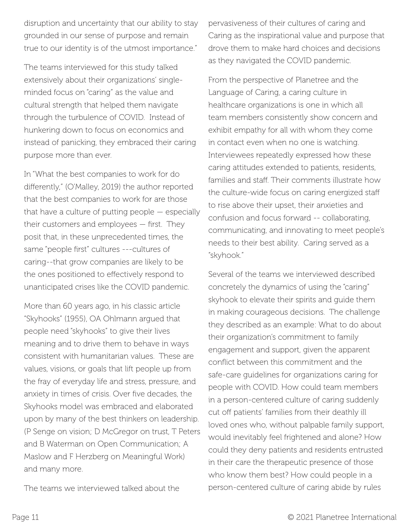disruption and uncertainty that our ability to stay grounded in our sense of purpose and remain true to our identity is of the utmost importance."

The teams interviewed for this study talked extensively about their organizations' singleminded focus on "caring" as the value and cultural strength that helped them navigate through the turbulence of COVID. Instead of hunkering down to focus on economics and instead of panicking, they embraced their caring purpose more than ever.

In "What the best companies to work for do differently," (O'Malley, 2019) the author reported that the best companies to work for are those that have a culture of putting people — especially their customers and employees — first. They posit that, in these unprecedented times, the same "people first" cultures ---cultures of caring--that grow companies are likely to be the ones positioned to effectively respond to unanticipated crises like the COVID pandemic.

More than 60 years ago, in his classic article "Skyhooks" (1955), OA Ohlmann argued that people need "skyhooks" to give their lives meaning and to drive them to behave in ways consistent with humanitarian values. These are values, visions, or goals that lift people up from the fray of everyday life and stress, pressure, and anxiety in times of crisis. Over five decades, the Skyhooks model was embraced and elaborated upon by many of the best thinkers on leadership. (P Senge on vision; D McGregor on trust, T Peters and B Waterman on Open Communication; A Maslow and F Herzberg on Meaningful Work) and many more.

The teams we interviewed talked about the

pervasiveness of their cultures of caring and Caring as the inspirational value and purpose that drove them to make hard choices and decisions as they navigated the COVID pandemic.

From the perspective of Planetree and the Language of Caring, a caring culture in healthcare organizations is one in which all team members consistently show concern and exhibit empathy for all with whom they come in contact even when no one is watching. Interviewees repeatedly expressed how these caring attitudes extended to patients, residents, families and staff. Their comments illustrate how the culture-wide focus on caring energized staff to rise above their upset, their anxieties and confusion and focus forward -- collaborating, communicating, and innovating to meet people's needs to their best ability. Caring served as a "skyhook."

Several of the teams we interviewed described concretely the dynamics of using the "caring" skyhook to elevate their spirits and guide them in making courageous decisions. The challenge they described as an example: What to do about their organization's commitment to family engagement and support, given the apparent conflict between this commitment and the safe-care guidelines for organizations caring for people with COVID. How could team members in a person-centered culture of caring suddenly cut off patients' families from their deathly ill loved ones who, without palpable family support, would inevitably feel frightened and alone? How could they deny patients and residents entrusted in their care the therapeutic presence of those who know them best? How could people in a person-centered culture of caring abide by rules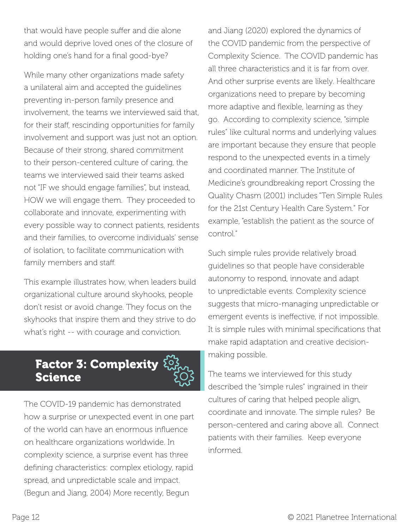that would have people suffer and die alone and would deprive loved ones of the closure of holding one's hand for a final good-bye?

While many other organizations made safety a unilateral aim and accepted the guidelines preventing in-person family presence and involvement, the teams we interviewed said that, for their staff, rescinding opportunities for family involvement and support was just not an option. Because of their strong, shared commitment to their person-centered culture of caring, the teams we interviewed said their teams asked not "IF we should engage families", but instead, HOW we will engage them. They proceeded to collaborate and innovate, experimenting with every possible way to connect patients, residents and their families, to overcome individuals' sense of isolation, to facilitate communication with family members and staff.

This example illustrates how, when leaders build organizational culture around skyhooks, people don't resist or avoid change. They focus on the skyhooks that inspire them and they strive to do what's right -- with courage and conviction.



The COVID-19 pandemic has demonstrated how a surprise or unexpected event in one part of the world can have an enormous influence on healthcare organizations worldwide. In complexity science, a surprise event has three defining characteristics: complex etiology, rapid spread, and unpredictable scale and impact. (Begun and Jiang, 2004) More recently, Begun

and Jiang (2020) explored the dynamics of the COVID pandemic from the perspective of Complexity Science. The COVID pandemic has all three characteristics and it is far from over. And other surprise events are likely. Healthcare organizations need to prepare by becoming more adaptive and flexible, learning as they go. According to complexity science, "simple rules" like cultural norms and underlying values are important because they ensure that people respond to the unexpected events in a timely and coordinated manner. The Institute of Medicine's groundbreaking report Crossing the Quality Chasm (2001) includes "Ten Simple Rules for the 21st Century Health Care System." For example, "establish the patient as the source of control."

Such simple rules provide relatively broad guidelines so that people have considerable autonomy to respond, innovate and adapt to unpredictable events. Complexity science suggests that micro-managing unpredictable or emergent events is ineffective, if not impossible. It is simple rules with minimal specifications that make rapid adaptation and creative decisionmaking possible.

The teams we interviewed for this study described the "simple rules" ingrained in their cultures of caring that helped people align, coordinate and innovate. The simple rules? Be person-centered and caring above all. Connect patients with their families. Keep everyone informed.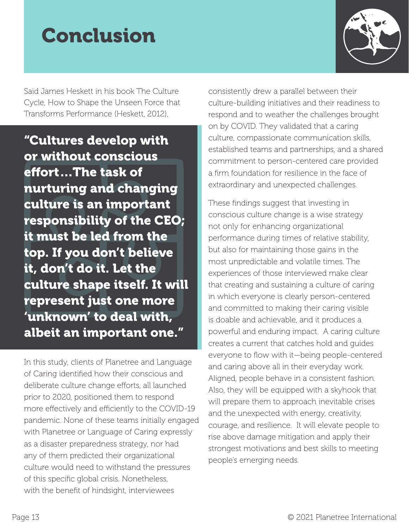### Conclusion



Said James Heskett in his book The Culture Cycle, How to Shape the Unseen Force that Transforms Performance (Heskett, 2012),

"Cultures develop with or without conscious effort…The task of nurturing and changing culture is an important responsibility of the CEO; it must be led from the top. If you don't believe it, don't do it. Let the culture shape itself. It will represent just one more 'unknown' to deal with, albeit an important one."

In this study, clients of Planetree and Language of Caring identified how their conscious and deliberate culture change efforts, all launched prior to 2020, positioned them to respond more effectively and efficiently to the COVID-19 pandemic. None of these teams initially engaged with Planetree or Language of Caring expressly as a disaster preparedness strategy, nor had any of them predicted their organizational culture would need to withstand the pressures of this specific global crisis. Nonetheless, with the benefit of hindsight, interviewees

consistently drew a parallel between their culture-building initiatives and their readiness to respond and to weather the challenges brought on by COVID. They validated that a caring culture, compassionate communication skills, established teams and partnerships, and a shared commitment to person-centered care provided a firm foundation for resilience in the face of extraordinary and unexpected challenges.

These findings suggest that investing in conscious culture change is a wise strategy not only for enhancing organizational performance during times of relative stability, but also for maintaining those gains in the most unpredictable and volatile times. The experiences of those interviewed make clear that creating and sustaining a culture of caring in which everyone is clearly person-centered and committed to making their caring visible is doable and achievable, and it produces a powerful and enduring impact. A caring culture creates a current that catches hold and guides everyone to flow with it—being people-centered and caring above all in their everyday work. Aligned, people behave in a consistent fashion. Also, they will be equipped with a skyhook that will prepare them to approach inevitable crises and the unexpected with energy, creativity, courage, and resilience. It will elevate people to rise above damage mitigation and apply their strongest motivations and best skills to meeting people's emerging needs.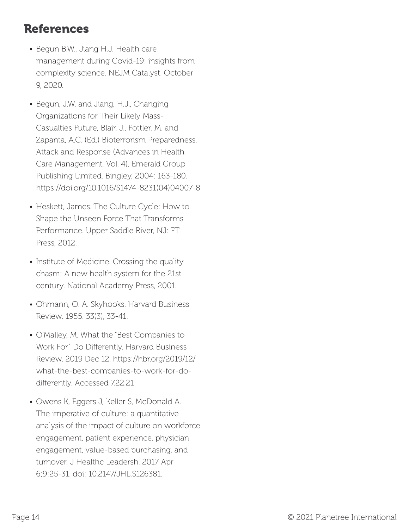### References

- Begun B.W., Jiang H.J. Health care management during Covid-19: insights from complexity science. NEJM Catalyst. October 9, 2020.
- Begun, J.W. and Jiang, H.J., Changing Organizations for Their Likely Mass-Casualties Future, Blair, J., Fottler, M. and Zapanta, A.C. (Ed.) Bioterrorism Preparedness, Attack and Response (Advances in Health Care Management, Vol. 4), Emerald Group Publishing Limited, Bingley, 2004: 163-180. https://doi.org/10.1016/S1474-8231(04)04007-8
- Heskett, James. The Culture Cycle: How to Shape the Unseen Force That Transforms Performance. Upper Saddle River, NJ: FT Press, 2012.
- Institute of Medicine. Crossing the quality chasm: A new health system for the 21st century. National Academy Press, 2001.
- Ohmann, O. A. Skyhooks. Harvard Business Review. 1955. 33(3), 33-41.
- O'Malley, M. What the "Best Companies to Work For" Do Differently. Harvard Business Review. 2019 Dec 12. https://hbr.org/2019/12/ what-the-best-companies-to-work-for-dodifferently. Accessed 7.22.21
- Owens K, Eggers J, Keller S, McDonald A. The imperative of culture: a quantitative analysis of the impact of culture on workforce engagement, patient experience, physician engagement, value-based purchasing, and turnover. J Healthc Leadersh. 2017 Apr 6;9:25-31. doi: 10.2147/JHL.S126381.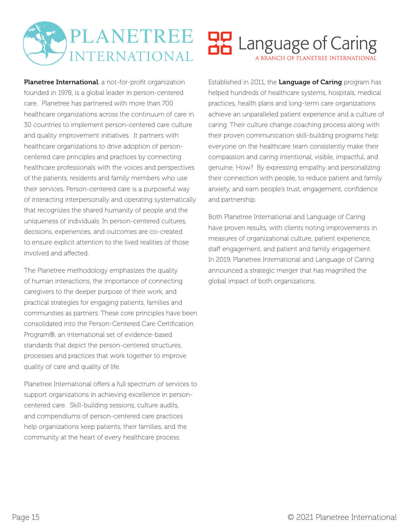#### PLANETREE **OP** Language of Caring **INTERNATIONAL** A BRANCH OF PLANETREE INTERNATIONAL

Planetree International, a not-for-profit organization founded in 1978, is a global leader in person-centered care. Planetree has partnered with more than 700 healthcare organizations across the continuum of care in 30 countries to implement person-centered care culture and quality improvement initiatives. It partners with healthcare organizations to drive adoption of personcentered care principles and practices by connecting healthcare professionals with the voices and perspectives of the patients, residents and family members who use their services. Person-centered care is a purposeful way of interacting interpersonally and operating systematically that recognizes the shared humanity of people and the uniqueness of individuals. In person-centered cultures, decisions, experiences, and outcomes are co-created to ensure explicit attention to the lived realities of those involved and affected.

The Planetree methodology emphasizes the quality of human interactions, the importance of connecting caregivers to the deeper purpose of their work, and practical strategies for engaging patients, families and communities as partners. These core principles have been consolidated into the Person-Centered Care Certification Program®, an international set of evidence-based standards that depict the person-centered structures, processes and practices that work together to improve quality of care and quality of life.

Planetree International offers a full spectrum of services to support organizations in achieving excellence in personcentered care. Skill-building sessions, culture audits, and compendiums of person-centered care practices help organizations keep patients, their families, and the community at the heart of every healthcare process.

Established in 2011, the Language of Caring program has helped hundreds of healthcare systems, hospitals, medical practices, health plans and long-term care organizations achieve an unparalleled patient experience and a culture of caring. Their culture change coaching process along with their proven communication skill-building programs help everyone on the healthcare team consistently make their compassion and caring intentional, visible, impactful, and genuine. How? By expressing empathy and personalizing their connection with people, to reduce patient and family anxiety, and earn people's trust, engagement, confidence and partnership.

Both Planetree International and Language of Caring have proven results, with clients noting improvements in measures of organizational culture, patient experience, staff engagement, and patient and family engagement. In 2019, Planetree International and Language of Caring announced a strategic merger that has magnified the global impact of both organizations.